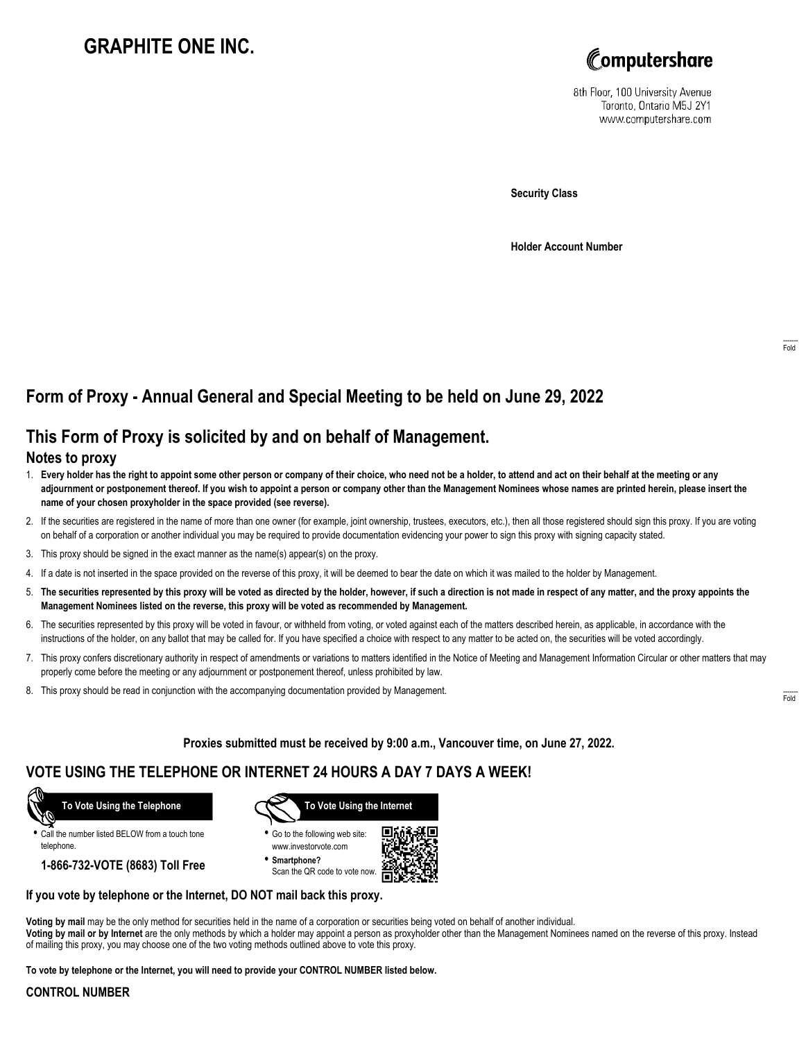# **GRAPHITE ONE INC.**



8th Floor, 100 University Avenue Toronto, Ontario M5J 2Y1 www.computershare.com

**Security Class**

**Holder Account Number**

## **Form of Proxy - Annual General and Special Meeting to be held on June 29, 2022**

## **This Form of Proxy is solicited by and on behalf of Management.**

#### **Notes to proxy**

- 1. **Every holder has the right to appoint some other person or company of their choice, who need not be a holder, to attend and act on their behalf at the meeting or any adjournment or postponement thereof. If you wish to appoint a person or company other than the Management Nominees whose names are printed herein, please insert the name of your chosen proxyholder in the space provided (see reverse).**
- 2. If the securities are registered in the name of more than one owner (for example, joint ownership, trustees, executors, etc.), then all those registered should sign this proxy. If you are voting on behalf of a corporation or another individual you may be required to provide documentation evidencing your power to sign this proxy with signing capacity stated.
- 3. This proxy should be signed in the exact manner as the name(s) appear(s) on the proxy.
- 4. If a date is not inserted in the space provided on the reverse of this proxy, it will be deemed to bear the date on which it was mailed to the holder by Management.
- 5. **The securities represented by this proxy will be voted as directed by the holder, however, if such a direction is not made in respect of any matter, and the proxy appoints the Management Nominees listed on the reverse, this proxy will be voted as recommended by Management.**
- 6. The securities represented by this proxy will be voted in favour, or withheld from voting, or voted against each of the matters described herein, as applicable, in accordance with the instructions of the holder, on any ballot that may be called for. If you have specified a choice with respect to any matter to be acted on, the securities will be voted accordingly.
- 7. This proxy confers discretionary authority in respect of amendments or variations to matters identified in the Notice of Meeting and Management Information Circular or other matters that may properly come before the meeting or any adjournment or postponement thereof, unless prohibited by law.
- 8. This proxy should be read in conjunction with the accompanying documentation provided by Management.

**Proxies submitted must be received by 9:00 a.m., Vancouver time, on June 27, 2022.**

## **VOTE USING THE TELEPHONE OR INTERNET 24 HOURS A DAY 7 DAYS A WEEK!**



**•** Call the number listed BELOW from a touch tone telephone.

**1-866-732-VOTE (8683) Toll Free**



**•** Go to the following web site: www.investorvote.com

**• Smartphone?** Scan the QR code to vote now.



#### **If you vote by telephone or the Internet, DO NOT mail back this proxy.**

**Voting by mail** may be the only method for securities held in the name of a corporation or securities being voted on behalf of another individual. **Voting by mail or by Internet** are the only methods by which a holder may appoint a person as proxyholder other than the Management Nominees named on the reverse of this proxy. Instead of mailing this proxy, you may choose one of the two voting methods outlined above to vote this proxy.

**To vote by telephone or the Internet, you will need to provide your CONTROL NUMBER listed below.**

#### **CONTROL NUMBER**